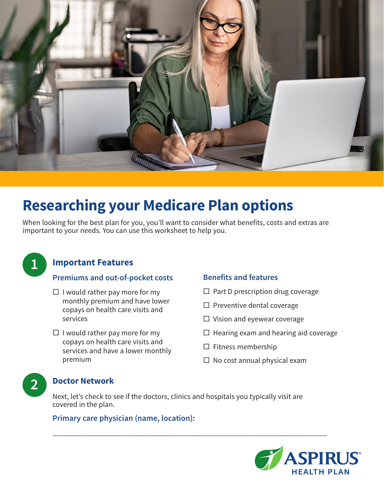

# **Researching your Medicare Plan options**

When looking for the best plan for you, you'll want to consider what benefits, costs and extras are important to your needs. You can use this worksheet to help you.



## **Important Features**

#### **Premiums and out-of-pocket costs**

- $\Box$  I would rather pay more for my monthly premium and have lower copays on health care visits and services
- $\Box$  I would rather pay more for my copays on health care visits and services and have a lower monthly premium

## **Benefits and features**

- $\Box$  Part D prescription drug coverage
- $\square$  Preventive dental coverage
- $\Box$  Vision and eyewear coverage
- $\Box$  Hearing exam and hearing aid coverage
- $\square$  Fitness membership
- $\Box$  No cost annual physical exam

# **2 Doctor Network**

Next, let's check to see if the doctors, clinics and hospitals you typically visit are covered in the plan.

\_\_\_\_\_\_\_\_\_\_\_\_\_\_\_\_\_\_\_\_\_\_\_\_\_\_\_\_\_\_\_\_\_\_\_\_\_\_\_\_\_\_\_\_\_\_\_\_\_\_\_\_\_\_\_\_\_\_\_\_\_\_\_\_\_\_\_\_\_\_\_\_\_

## **Primary care physician (name, location):**